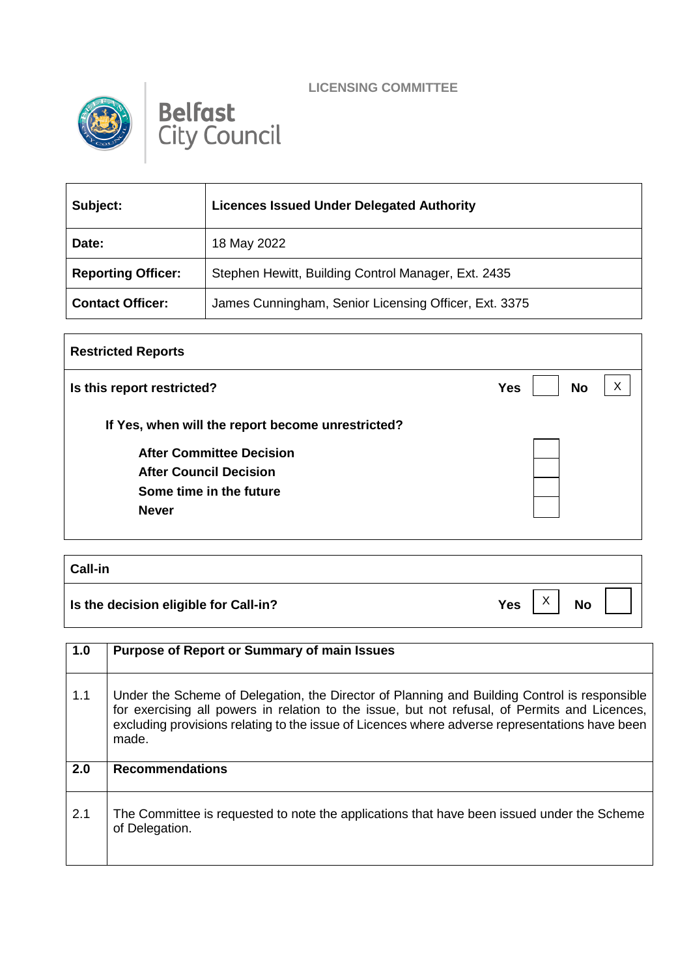**LICENSING COMMITTEE**



## **Belfast**<br>City Council

| Subject:                  | <b>Licences Issued Under Delegated Authority</b>      |  |  |  |  |  |
|---------------------------|-------------------------------------------------------|--|--|--|--|--|
| Date:                     | 18 May 2022                                           |  |  |  |  |  |
| <b>Reporting Officer:</b> | Stephen Hewitt, Building Control Manager, Ext. 2435   |  |  |  |  |  |
| <b>Contact Officer:</b>   | James Cunningham, Senior Licensing Officer, Ext. 3375 |  |  |  |  |  |

| <b>Restricted Reports</b>                         |                         |  |
|---------------------------------------------------|-------------------------|--|
| Is this report restricted?                        | <b>No</b><br><b>Yes</b> |  |
| If Yes, when will the report become unrestricted? |                         |  |
| <b>After Committee Decision</b>                   |                         |  |
| <b>After Council Decision</b>                     |                         |  |
| Some time in the future                           |                         |  |
| <b>Never</b>                                      |                         |  |
|                                                   |                         |  |

| <b>Call-in</b>                        |            |                   |           |  |
|---------------------------------------|------------|-------------------|-----------|--|
| Is the decision eligible for Call-in? | <b>Yes</b> | $\checkmark$<br>⌒ | <b>No</b> |  |

| 1.0 | <b>Purpose of Report or Summary of main Issues</b>                                                                                                                                                                                                                                                       |
|-----|----------------------------------------------------------------------------------------------------------------------------------------------------------------------------------------------------------------------------------------------------------------------------------------------------------|
| 1.1 | Under the Scheme of Delegation, the Director of Planning and Building Control is responsible<br>for exercising all powers in relation to the issue, but not refusal, of Permits and Licences,<br>excluding provisions relating to the issue of Licences where adverse representations have been<br>made. |
| 2.0 | <b>Recommendations</b>                                                                                                                                                                                                                                                                                   |
| 2.1 | The Committee is requested to note the applications that have been issued under the Scheme<br>of Delegation.                                                                                                                                                                                             |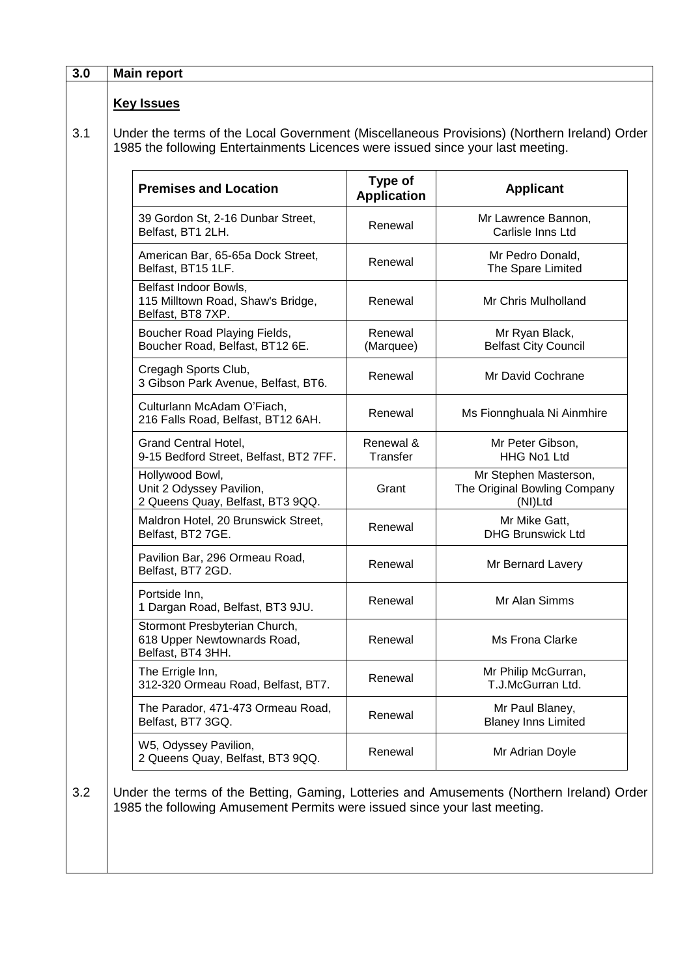| <b>Key Issues</b><br>Under the terms of the Local Government (Miscellaneous Provisions) (Northern Ireland) Order<br>1985 the following Entertainments Licences were issued since your last meeting. |                               |                                                                  |
|-----------------------------------------------------------------------------------------------------------------------------------------------------------------------------------------------------|-------------------------------|------------------------------------------------------------------|
| <b>Premises and Location</b>                                                                                                                                                                        | Type of<br><b>Application</b> | <b>Applicant</b>                                                 |
| 39 Gordon St, 2-16 Dunbar Street,<br>Belfast, BT1 2LH.                                                                                                                                              | Renewal                       | Mr Lawrence Bannon,<br>Carlisle Inns Ltd                         |
| American Bar, 65-65a Dock Street,<br>Belfast, BT15 1LF.                                                                                                                                             | Renewal                       | Mr Pedro Donald,<br>The Spare Limited                            |
| Belfast Indoor Bowls,<br>115 Milltown Road, Shaw's Bridge,<br>Belfast, BT8 7XP.                                                                                                                     | Renewal                       | Mr Chris Mulholland                                              |
| Boucher Road Playing Fields,<br>Boucher Road, Belfast, BT12 6E.                                                                                                                                     | Renewal<br>(Marquee)          | Mr Ryan Black,<br><b>Belfast City Council</b>                    |
| Cregagh Sports Club,<br>3 Gibson Park Avenue, Belfast, BT6.                                                                                                                                         | Renewal                       | Mr David Cochrane                                                |
| Culturlann McAdam O'Fiach,<br>216 Falls Road, Belfast, BT12 6AH.                                                                                                                                    | Renewal                       | Ms Fionnghuala Ni Ainmhire                                       |
| <b>Grand Central Hotel,</b><br>9-15 Bedford Street, Belfast, BT2 7FF.                                                                                                                               | Renewal &<br>Transfer         | Mr Peter Gibson,<br>HHG No1 Ltd                                  |
| Hollywood Bowl,<br>Unit 2 Odyssey Pavilion,<br>2 Queens Quay, Belfast, BT3 9QQ.                                                                                                                     | Grant                         | Mr Stephen Masterson,<br>The Original Bowling Company<br>(NI)Ltd |
| Maldron Hotel, 20 Brunswick Street,<br>Belfast, BT2 7GE.                                                                                                                                            | Renewal                       | Mr Mike Gatt,<br><b>DHG Brunswick Ltd</b>                        |
| Pavilion Bar, 296 Ormeau Road,<br>Belfast, BT7 2GD.                                                                                                                                                 | Renewal                       | Mr Bernard Lavery                                                |
| Portside Inn,<br>1 Dargan Road, Belfast, BT3 9JU.                                                                                                                                                   | Renewal                       | Mr Alan Simms                                                    |
| Stormont Presbyterian Church,<br>618 Upper Newtownards Road,<br>Belfast, BT4 3HH.                                                                                                                   | Renewal                       | Ms Frona Clarke                                                  |
| The Errigle Inn,<br>312-320 Ormeau Road, Belfast, BT7.                                                                                                                                              | Renewal                       | Mr Philip McGurran,<br>T.J.McGurran Ltd.                         |
| The Parador, 471-473 Ormeau Road,<br>Belfast, BT7 3GQ.                                                                                                                                              | Renewal                       | Mr Paul Blaney,<br><b>Blaney Inns Limited</b>                    |
| W5, Odyssey Pavilion,<br>2 Queens Quay, Belfast, BT3 9QQ.                                                                                                                                           | Renewal                       | Mr Adrian Doyle                                                  |